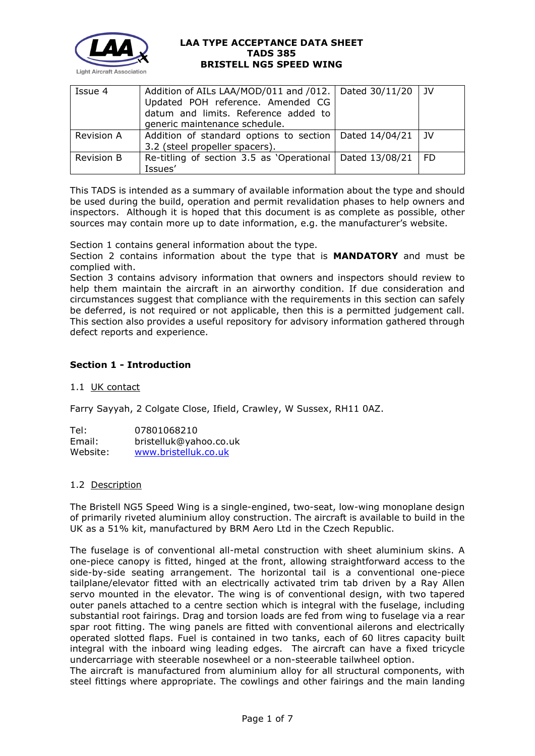

| Issue 4           | Addition of AILs LAA/MOD/011 and /012.   Dated 30/11/20<br>Updated POH reference. Amended CG<br>datum and limits. Reference added to<br>generic maintenance schedule. |                | ı JV           |
|-------------------|-----------------------------------------------------------------------------------------------------------------------------------------------------------------------|----------------|----------------|
| Revision A        | Addition of standard options to section<br>3.2 (steel propeller spacers).                                                                                             | Dated 14/04/21 | $\overline{1}$ |
| <b>Revision B</b> | Re-titling of section 3.5 as 'Operational<br>Issues'                                                                                                                  | Dated 13/08/21 | - FD           |

This TADS is intended as a summary of available information about the type and should be used during the build, operation and permit revalidation phases to help owners and inspectors. Although it is hoped that this document is as complete as possible, other sources may contain more up to date information, e.g. the manufacturer's website.

Section 1 contains general information about the type.

Section 2 contains information about the type that is **MANDATORY** and must be complied with.

Section 3 contains advisory information that owners and inspectors should review to help them maintain the aircraft in an airworthy condition. If due consideration and circumstances suggest that compliance with the requirements in this section can safely be deferred, is not required or not applicable, then this is a permitted judgement call. This section also provides a useful repository for advisory information gathered through defect reports and experience.

# **Section 1 - Introduction**

### 1.1 UK contact

Farry Sayyah, 2 Colgate Close, Ifield, Crawley, W Sussex, RH11 0AZ.

| Tel:     | 07801068210            |
|----------|------------------------|
| Email:   | bristelluk@yahoo.co.uk |
| Website: | www.bristelluk.co.uk   |

#### 1.2 Description

The Bristell NG5 Speed Wing is a single-engined, two-seat, low-wing monoplane design of primarily riveted aluminium alloy construction. The aircraft is available to build in the UK as a 51% kit, manufactured by BRM Aero Ltd in the Czech Republic.

The fuselage is of conventional all-metal construction with sheet aluminium skins. A one-piece canopy is fitted, hinged at the front, allowing straightforward access to the side-by-side seating arrangement. The horizontal tail is a conventional one-piece tailplane/elevator fitted with an electrically activated trim tab driven by a Ray Allen servo mounted in the elevator. The wing is of conventional design, with two tapered outer panels attached to a centre section which is integral with the fuselage, including substantial root fairings. Drag and torsion loads are fed from wing to fuselage via a rear spar root fitting. The wing panels are fitted with conventional ailerons and electrically operated slotted flaps. Fuel is contained in two tanks, each of 60 litres capacity built integral with the inboard wing leading edges. The aircraft can have a fixed tricycle undercarriage with steerable nosewheel or a non-steerable tailwheel option.

The aircraft is manufactured from aluminium alloy for all structural components, with steel fittings where appropriate. The cowlings and other fairings and the main landing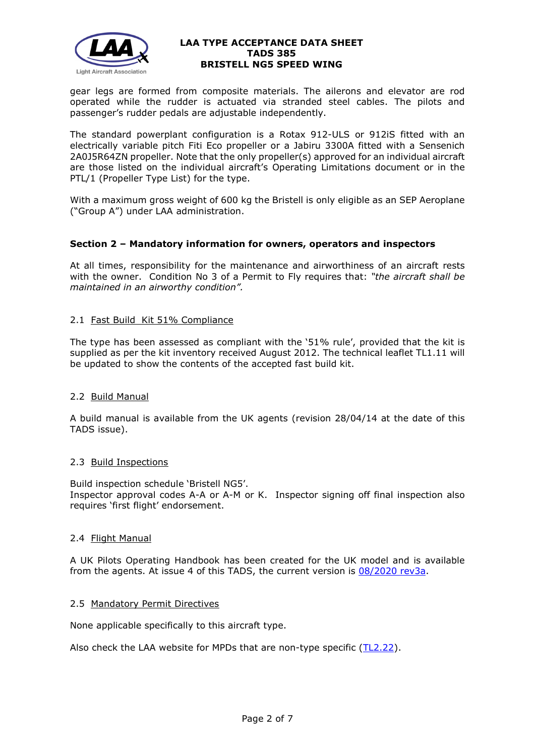

gear legs are formed from composite materials. The ailerons and elevator are rod operated while the rudder is actuated via stranded steel cables. The pilots and passenger's rudder pedals are adjustable independently.

The standard powerplant configuration is a Rotax 912-ULS or 912iS fitted with an electrically variable pitch Fiti Eco propeller or a Jabiru 3300A fitted with a Sensenich 2A0J5R64ZN propeller. Note that the only propeller(s) approved for an individual aircraft are those listed on the individual aircraft's Operating Limitations document or in the PTL/1 (Propeller Type List) for the type.

With a maximum gross weight of 600 kg the Bristell is only eligible as an SEP Aeroplane ("Group A") under LAA administration.

# **Section 2 – Mandatory information for owners, operators and inspectors**

At all times, responsibility for the maintenance and airworthiness of an aircraft rests with the owner. Condition No 3 of a Permit to Fly requires that: *"the aircraft shall be maintained in an airworthy condition".* 

# 2.1 Fast Build Kit 51% Compliance

The type has been assessed as compliant with the '51% rule', provided that the kit is supplied as per the kit inventory received August 2012. The technical leaflet TL1.11 will be updated to show the contents of the accepted fast build kit.

### 2.2 Build Manual

A build manual is available from the UK agents (revision 28/04/14 at the date of this TADS issue).

### 2.3 Build Inspections

Build inspection schedule 'Bristell NG5'. Inspector approval codes A-A or A-M or K. Inspector signing off final inspection also requires 'first flight' endorsement.

### 2.4 Flight Manual

A UK Pilots Operating Handbook has been created for the UK model and is available from the agents. At issue 4 of this TADS, the current version is [08/2020 rev3a.](https://groups.io/g/Bristelluk)

### 2.5 Mandatory Permit Directives

None applicable specifically to this aircraft type.

Also check the LAA website for MPDs that are non-type specific [\(TL2.22\)](http://www.lightaircraftassociation.co.uk/engineering/TechnicalLeaflets/Operating%20An%20Aircraft/TL%202.22%20non-type%20specific%20MPDs.pdf).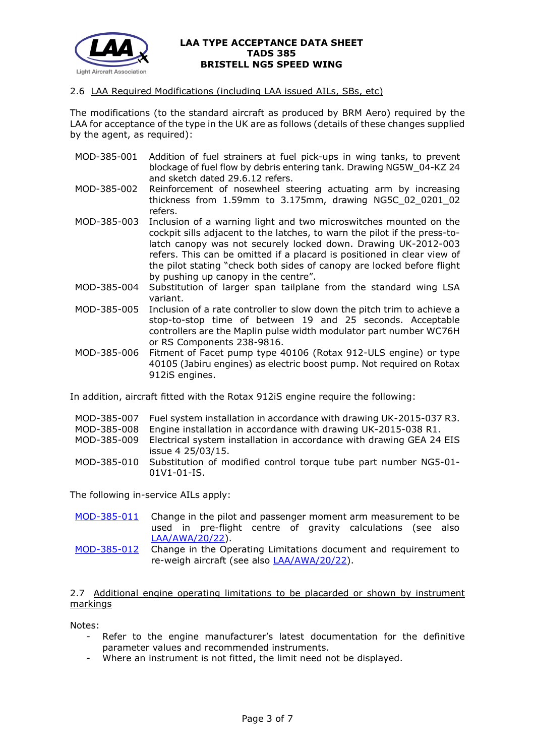

### 2.6 LAA Required Modifications (including LAA issued AILs, SBs, etc)

The modifications (to the standard aircraft as produced by BRM Aero) required by the LAA for acceptance of the type in the UK are as follows (details of these changes supplied by the agent, as required):

- MOD-385-001 Addition of fuel strainers at fuel pick-ups in wing tanks, to prevent blockage of fuel flow by debris entering tank. Drawing NG5W\_04-KZ 24 and sketch dated 29.6.12 refers.
- MOD-385-002 Reinforcement of nosewheel steering actuating arm by increasing thickness from 1.59mm to 3.175mm, drawing NG5C\_02\_0201\_02 refers.
- MOD-385-003 Inclusion of a warning light and two microswitches mounted on the cockpit sills adjacent to the latches, to warn the pilot if the press-tolatch canopy was not securely locked down. Drawing UK-2012-003 refers. This can be omitted if a placard is positioned in clear view of the pilot stating "check both sides of canopy are locked before flight by pushing up canopy in the centre".
- MOD-385-004 Substitution of larger span tailplane from the standard wing LSA variant.
- MOD-385-005 Inclusion of a rate controller to slow down the pitch trim to achieve a stop-to-stop time of between 19 and 25 seconds. Acceptable controllers are the Maplin pulse width modulator part number WC76H or RS Components 238-9816.
- MOD-385-006 Fitment of Facet pump type 40106 (Rotax 912-ULS engine) or type 40105 (Jabiru engines) as electric boost pump. Not required on Rotax 912iS engines.

In addition, aircraft fitted with the Rotax 912iS engine require the following:

|             | MOD-385-007 Fuel system installation in accordance with drawing UK-2015-037 R3. |  |
|-------------|---------------------------------------------------------------------------------|--|
| MOD-385-008 | Engine installation in accordance with drawing UK-2015-038 R1.                  |  |
| MOD-385-009 | Electrical system installation in accordance with drawing GEA 24 EIS            |  |
|             | issue 4 25/03/15.                                                               |  |
| MOD-385-010 | Substitution of modified control torque tube part number NG5-01-                |  |
|             | $01V1 - 01 - IS$ .                                                              |  |

The following in-service AILs apply:

- [MOD-385-011](http://www.lightaircraftassociation.co.uk/engineering/TADs/385/MOD_385_011.pdf) Change in the pilot and passenger moment arm measurement to be used in pre-flight centre of gravity calculations (see also [LAA/AWA/20/22\)](http://www.lightaircraftassociation.co.uk/engineering/Bristell%20WB%20issues.pdf).
- [MOD-385-012](http://www.lightaircraftassociation.co.uk/engineering/TADs/385/MOD_385_012.pdf) Change in the Operating Limitations document and requirement to re-weigh aircraft (see also **LAA/AWA/20/22**).

2.7 Additional engine operating limitations to be placarded or shown by instrument markings

Notes:

- Refer to the engine manufacturer's latest documentation for the definitive parameter values and recommended instruments.
- Where an instrument is not fitted, the limit need not be displayed.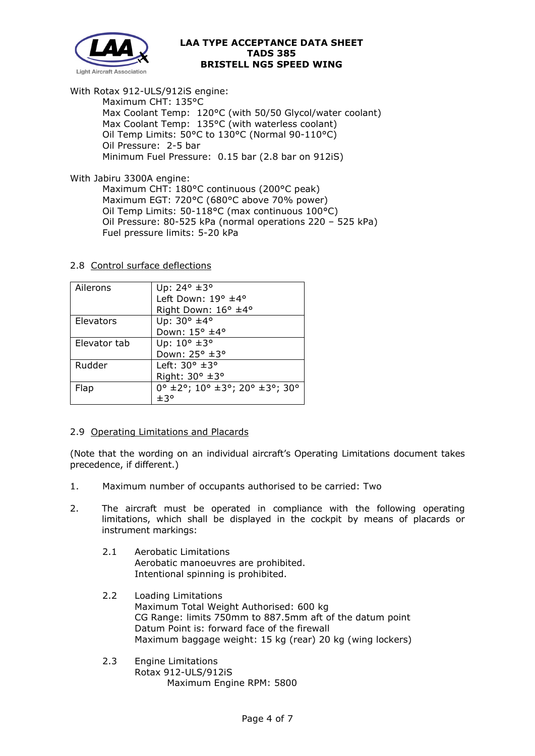

With Rotax 912-ULS/912iS engine:

Maximum CHT: 135°C Max Coolant Temp: 120°C (with 50/50 Glycol/water coolant) Max Coolant Temp: 135°C (with waterless coolant) Oil Temp Limits: 50°C to 130°C (Normal 90-110°C) Oil Pressure: 2-5 bar Minimum Fuel Pressure: 0.15 bar (2.8 bar on 912iS)

With Jabiru 3300A engine:

Maximum CHT: 180°C continuous (200°C peak) Maximum EGT: 720°C (680°C above 70% power) Oil Temp Limits: 50-118°C (max continuous 100°C) Oil Pressure: 80-525 kPa (normal operations 220 – 525 kPa) Fuel pressure limits: 5-20 kPa

# 2.8 Control surface deflections

| Ailerons     | Up: 24° ±3°                            |
|--------------|----------------------------------------|
|              | Left Down: 19° ±4°                     |
|              | Right Down: 16° ±4°                    |
| Elevators    | Up: 30° ±4°                            |
|              | Down: 15° ±4°                          |
| Elevator tab | Up: 10° ±3°                            |
|              | Down: 25° ±3°                          |
| Rudder       | Left: $30^\circ \pm 3^\circ$           |
|              | Right: 30° ±3°                         |
| Flap         | $0^{\circ}$ ±2°; 10° ±3°; 20° ±3°; 30° |
|              | ±3°                                    |

# 2.9 Operating Limitations and Placards

(Note that the wording on an individual aircraft's Operating Limitations document takes precedence, if different.)

- 1. Maximum number of occupants authorised to be carried: Two
- 2. The aircraft must be operated in compliance with the following operating limitations, which shall be displayed in the cockpit by means of placards or instrument markings:
	- 2.1 Aerobatic Limitations Aerobatic manoeuvres are prohibited. Intentional spinning is prohibited.
	- 2.2 Loading Limitations Maximum Total Weight Authorised: 600 kg CG Range: limits 750mm to 887.5mm aft of the datum point Datum Point is: forward face of the firewall Maximum baggage weight: 15 kg (rear) 20 kg (wing lockers)
	- 2.3 Engine Limitations Rotax 912-ULS/912iS Maximum Engine RPM: 5800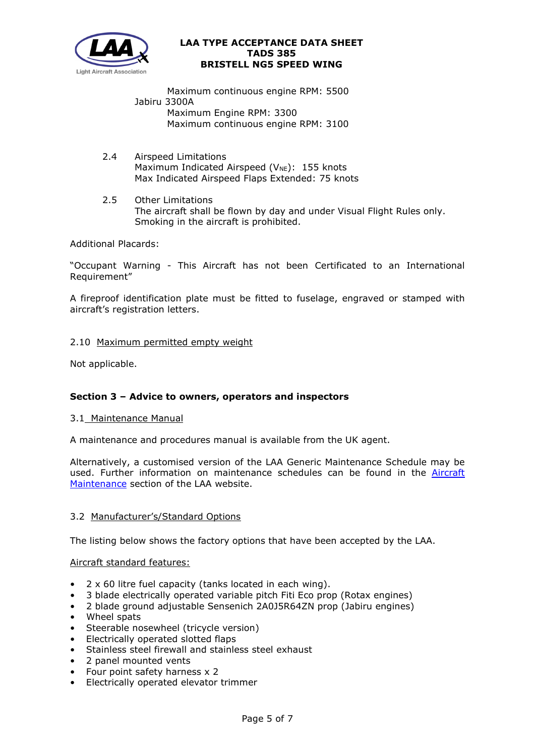

Maximum continuous engine RPM: 5500 Jabiru 3300A Maximum Engine RPM: 3300 Maximum continuous engine RPM: 3100

- 2.4 Airspeed Limitations Maximum Indicated Airspeed ( $V_{NE}$ ): 155 knots Max Indicated Airspeed Flaps Extended: 75 knots
- 2.5 Other Limitations The aircraft shall be flown by day and under Visual Flight Rules only. Smoking in the aircraft is prohibited.

Additional Placards:

"Occupant Warning - This Aircraft has not been Certificated to an International Requirement"

A fireproof identification plate must be fitted to fuselage, engraved or stamped with aircraft's registration letters.

# 2.10 Maximum permitted empty weight

Not applicable.

# **Section 3 – Advice to owners, operators and inspectors**

### 3.1 Maintenance Manual

A maintenance and procedures manual is available from the UK agent.

Alternatively, a customised version of the LAA Generic Maintenance Schedule may be used. Further information on maintenance schedules can be found in the [Aircraft](http://www.lightaircraftassociation.co.uk/engineering/Maintenance/Aircraft_Maintenance.html)  [Maintenance](http://www.lightaircraftassociation.co.uk/engineering/Maintenance/Aircraft_Maintenance.html) section of the LAA website.

### 3.2 Manufacturer's/Standard Options

The listing below shows the factory options that have been accepted by the LAA.

### Aircraft standard features:

- $2 \times 60$  litre fuel capacity (tanks located in each wing).
- 3 blade electrically operated variable pitch Fiti Eco prop (Rotax engines)
- 2 blade ground adjustable Sensenich 2A0J5R64ZN prop (Jabiru engines)
- Wheel spats
- Steerable nosewheel (tricycle version)
- Electrically operated slotted flaps
- Stainless steel firewall and stainless steel exhaust
- 2 panel mounted vents
- Four point safety harness x 2
- Electrically operated elevator trimmer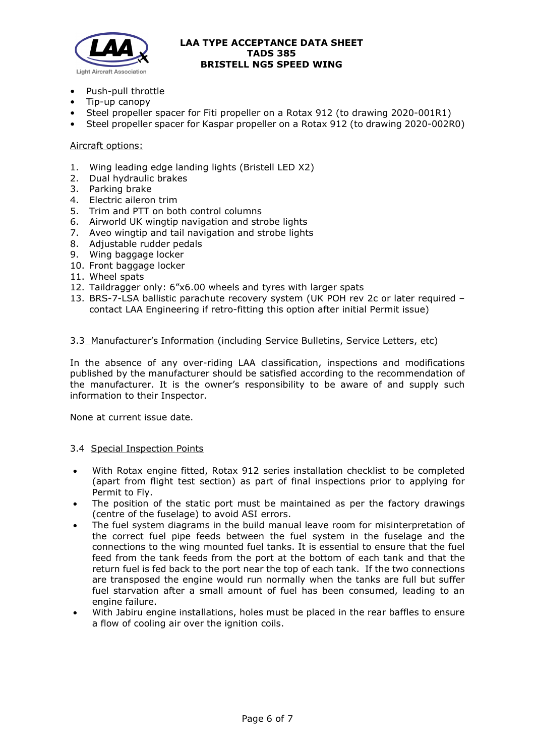

- Push-pull throttle
- Tip-up canopy
- Steel propeller spacer for Fiti propeller on a Rotax 912 (to drawing 2020-001R1)
- Steel propeller spacer for Kaspar propeller on a Rotax 912 (to drawing 2020-002R0)

### Aircraft options:

- 1. Wing leading edge landing lights (Bristell LED X2)
- 2. Dual hydraulic brakes
- 3. Parking brake
- 4. Electric aileron trim
- 5. Trim and PTT on both control columns
- 6. Airworld UK wingtip navigation and strobe lights
- 7. Aveo wingtip and tail navigation and strobe lights
- 8. Adjustable rudder pedals
- 9. Wing baggage locker
- 10. Front baggage locker
- 11. Wheel spats
- 12. Taildragger only: 6"x6.00 wheels and tyres with larger spats
- 13. BRS-7-LSA ballistic parachute recovery system (UK POH rev 2c or later required contact LAA Engineering if retro-fitting this option after initial Permit issue)

#### 3.3 Manufacturer's Information (including Service Bulletins, Service Letters, etc)

In the absence of any over-riding LAA classification, inspections and modifications published by the manufacturer should be satisfied according to the recommendation of the manufacturer. It is the owner's responsibility to be aware of and supply such information to their Inspector.

None at current issue date.

#### 3.4 Special Inspection Points

- With Rotax engine fitted, Rotax 912 series installation checklist to be completed (apart from flight test section) as part of final inspections prior to applying for Permit to Fly.
- The position of the static port must be maintained as per the factory drawings (centre of the fuselage) to avoid ASI errors.
- The fuel system diagrams in the build manual leave room for misinterpretation of the correct fuel pipe feeds between the fuel system in the fuselage and the connections to the wing mounted fuel tanks. It is essential to ensure that the fuel feed from the tank feeds from the port at the bottom of each tank and that the return fuel is fed back to the port near the top of each tank. If the two connections are transposed the engine would run normally when the tanks are full but suffer fuel starvation after a small amount of fuel has been consumed, leading to an engine failure.
- With Jabiru engine installations, holes must be placed in the rear baffles to ensure a flow of cooling air over the ignition coils.